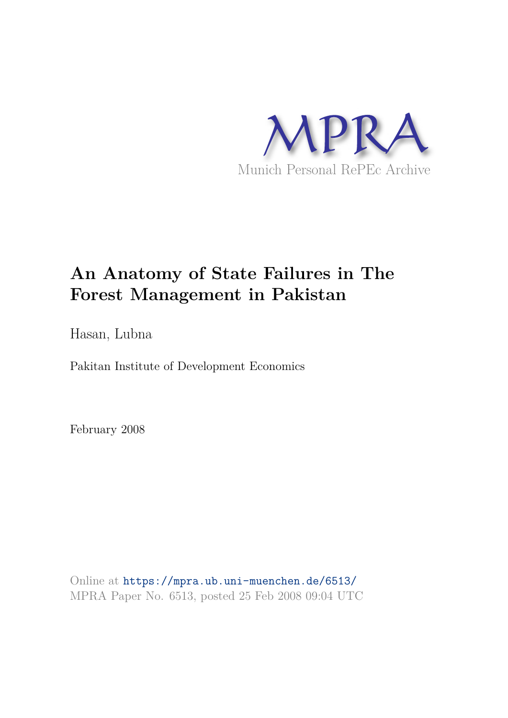

# **An Anatomy of State Failures in The Forest Management in Pakistan**

Hasan, Lubna

Pakitan Institute of Development Economics

February 2008

Online at https://mpra.ub.uni-muenchen.de/6513/ MPRA Paper No. 6513, posted 25 Feb 2008 09:04 UTC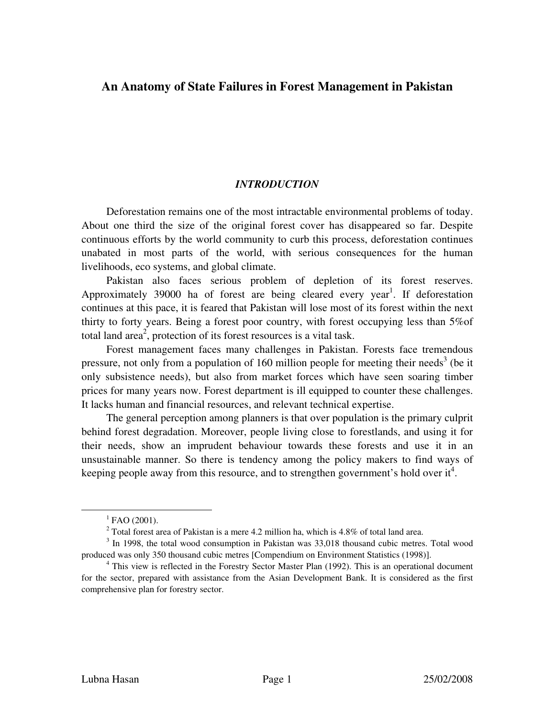# **An Anatomy of State Failures in Forest Management in Pakistan**

## *INTRODUCTION*

Deforestation remains one of the most intractable environmental problems of today. About one third the size of the original forest cover has disappeared so far. Despite continuous efforts by the world community to curb this process, deforestation continues unabated in most parts of the world, with serious consequences for the human livelihoods, eco systems, and global climate.

Pakistan also faces serious problem of depletion of its forest reserves. Approximately 39000 ha of forest are being cleared every year<sup>1</sup>. If deforestation continues at this pace, it is feared that Pakistan will lose most of its forest within the next thirty to forty years. Being a forest poor country, with forest occupying less than 5%of total land area<sup>2</sup>, protection of its forest resources is a vital task.

Forest management faces many challenges in Pakistan. Forests face tremendous pressure, not only from a population of 160 million people for meeting their needs<sup>3</sup> (be it only subsistence needs), but also from market forces which have seen soaring timber prices for many years now. Forest department is ill equipped to counter these challenges. It lacks human and financial resources, and relevant technical expertise.

The general perception among planners is that over population is the primary culprit behind forest degradation. Moreover, people living close to forestlands, and using it for their needs, show an imprudent behaviour towards these forests and use it in an unsustainable manner. So there is tendency among the policy makers to find ways of keeping people away from this resource, and to strengthen government's hold over it<sup>4</sup>.

 $^{1}$  FAO (2001).

<sup>&</sup>lt;sup>2</sup> Total forest area of Pakistan is a mere 4.2 million ha, which is 4.8% of total land area.

<sup>&</sup>lt;sup>3</sup> In 1998, the total wood consumption in Pakistan was 33,018 thousand cubic metres. Total wood produced was only 350 thousand cubic metres [Compendium on Environment Statistics (1998)].

<sup>&</sup>lt;sup>4</sup> This view is reflected in the Forestry Sector Master Plan (1992). This is an operational document for the sector, prepared with assistance from the Asian Development Bank. It is considered as the first comprehensive plan for forestry sector.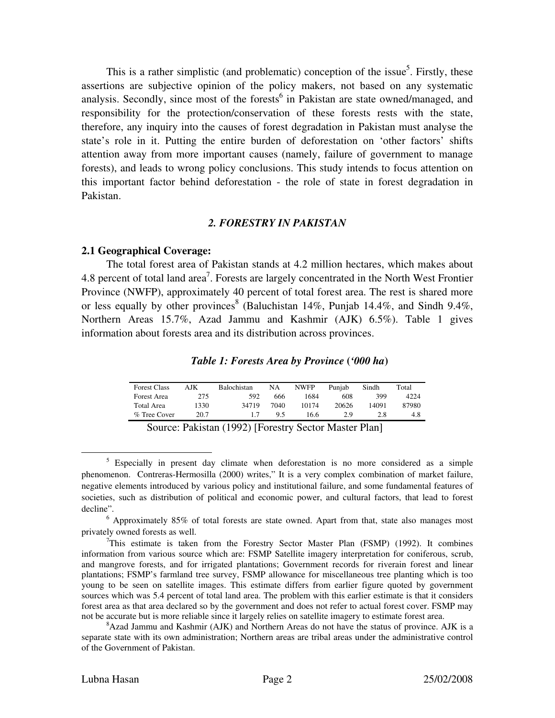This is a rather simplistic (and problematic) conception of the issue<sup>5</sup>. Firstly, these assertions are subjective opinion of the policy makers, not based on any systematic analysis. Secondly, since most of the forests<sup>6</sup> in Pakistan are state owned/managed, and responsibility for the protection/conservation of these forests rests with the state, therefore, any inquiry into the causes of forest degradation in Pakistan must analyse the state's role in it. Putting the entire burden of deforestation on 'other factors' shifts attention away from more important causes (namely, failure of government to manage forests), and leads to wrong policy conclusions. This study intends to focus attention on this important factor behind deforestation - the role of state in forest degradation in Pakistan.

#### *2. FORESTRY IN PAKISTAN*

#### **2.1 Geographical Coverage:**

The total forest area of Pakistan stands at 4.2 million hectares, which makes about 4.8 percent of total land area<sup>7</sup>. Forests are largely concentrated in the North West Frontier Province (NWFP), approximately 40 percent of total forest area. The rest is shared more or less equally by other provinces<sup>8</sup> (Baluchistan 14%, Punjab 14.4%, and Sindh 9.4%, Northern Areas 15.7%, Azad Jammu and Kashmir (AJK) 6.5%). Table 1 gives information about forests area and its distribution across provinces.

#### *Table 1: Forests Area by Province* **(***'000 ha***)**

| <b>Forest Class</b> | AJK  | <b>Balochistan</b> | NA   | <b>NWFP</b> | Puniab | Sindh | Total |
|---------------------|------|--------------------|------|-------------|--------|-------|-------|
| Forest Area         | 275  | 592                | 666  | 1684        | 608    | 399   | 4224  |
| Total Area          | 1330 | 34719              | 7040 | 10174       | 20626  | 14091 | 87980 |
| % Tree Cover        | 20.7 |                    | 95   | 16.6        | 2.9    | 2.8   | 4.8   |

| Source: Pakistan (1992) [Forestry Sector Master Plan] |  |  |  |  |  |
|-------------------------------------------------------|--|--|--|--|--|
|-------------------------------------------------------|--|--|--|--|--|

<sup>&</sup>lt;sup>5</sup> Especially in present day climate when deforestation is no more considered as a simple phenomenon. Contreras-Hermosilla (2000) writes," It is a very complex combination of market failure, negative elements introduced by various policy and institutional failure, and some fundamental features of societies, such as distribution of political and economic power, and cultural factors, that lead to forest decline".

 $6$  Approximately 85% of total forests are state owned. Apart from that, state also manages most privately owned forests as well.

 $7$ This estimate is taken from the Forestry Sector Master Plan (FSMP) (1992). It combines information from various source which are: FSMP Satellite imagery interpretation for coniferous, scrub, and mangrove forests, and for irrigated plantations; Government records for riverain forest and linear plantations; FSMP's farmland tree survey, FSMP allowance for miscellaneous tree planting which is too young to be seen on satellite images. This estimate differs from earlier figure quoted by government sources which was 5.4 percent of total land area. The problem with this earlier estimate is that it considers forest area as that area declared so by the government and does not refer to actual forest cover. FSMP may not be accurate but is more reliable since it largely relies on satellite imagery to estimate forest area.

 $8$ Azad Jammu and Kashmir (AJK) and Northern Areas do not have the status of province. AJK is a separate state with its own administration; Northern areas are tribal areas under the administrative control of the Government of Pakistan.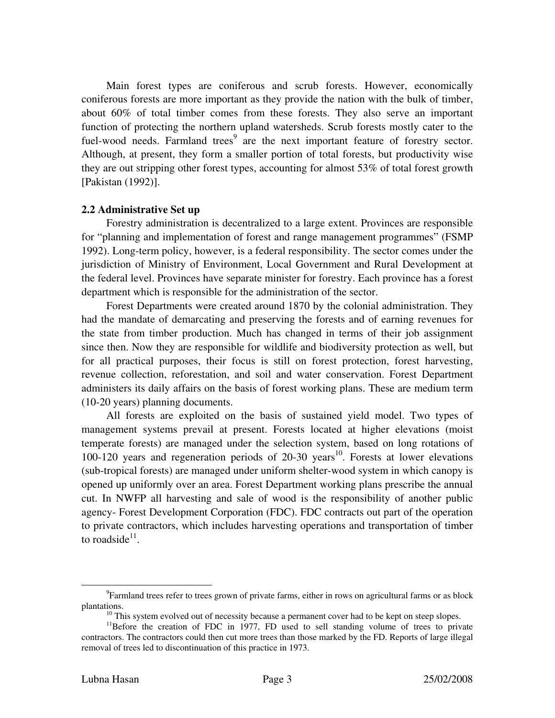Main forest types are coniferous and scrub forests. However, economically coniferous forests are more important as they provide the nation with the bulk of timber, about 60% of total timber comes from these forests. They also serve an important function of protecting the northern upland watersheds. Scrub forests mostly cater to the fuel-wood needs. Farmland trees<sup>9</sup> are the next important feature of forestry sector. Although, at present, they form a smaller portion of total forests, but productivity wise they are out stripping other forest types, accounting for almost 53% of total forest growth [Pakistan (1992)].

#### **2.2 Administrative Set up**

Forestry administration is decentralized to a large extent. Provinces are responsible for "planning and implementation of forest and range management programmes" (FSMP 1992). Long-term policy, however, is a federal responsibility. The sector comes under the jurisdiction of Ministry of Environment, Local Government and Rural Development at the federal level. Provinces have separate minister for forestry. Each province has a forest department which is responsible for the administration of the sector.

Forest Departments were created around 1870 by the colonial administration. They had the mandate of demarcating and preserving the forests and of earning revenues for the state from timber production. Much has changed in terms of their job assignment since then. Now they are responsible for wildlife and biodiversity protection as well, but for all practical purposes, their focus is still on forest protection, forest harvesting, revenue collection, reforestation, and soil and water conservation. Forest Department administers its daily affairs on the basis of forest working plans. These are medium term (10-20 years) planning documents.

All forests are exploited on the basis of sustained yield model. Two types of management systems prevail at present. Forests located at higher elevations (moist temperate forests) are managed under the selection system, based on long rotations of 100-120 years and regeneration periods of  $20-30$  years<sup>10</sup>. Forests at lower elevations (sub-tropical forests) are managed under uniform shelter-wood system in which canopy is opened up uniformly over an area. Forest Department working plans prescribe the annual cut. In NWFP all harvesting and sale of wood is the responsibility of another public agency- Forest Development Corporation (FDC). FDC contracts out part of the operation to private contractors, which includes harvesting operations and transportation of timber to roadside $11$ .

<sup>&</sup>lt;sup>9</sup>Farmland trees refer to trees grown of private farms, either in rows on agricultural farms or as block plantations.

 $10$  This system evolved out of necessity because a permanent cover had to be kept on steep slopes.

 $11$ Before the creation of FDC in 1977, FD used to sell standing volume of trees to private contractors. The contractors could then cut more trees than those marked by the FD. Reports of large illegal removal of trees led to discontinuation of this practice in 1973.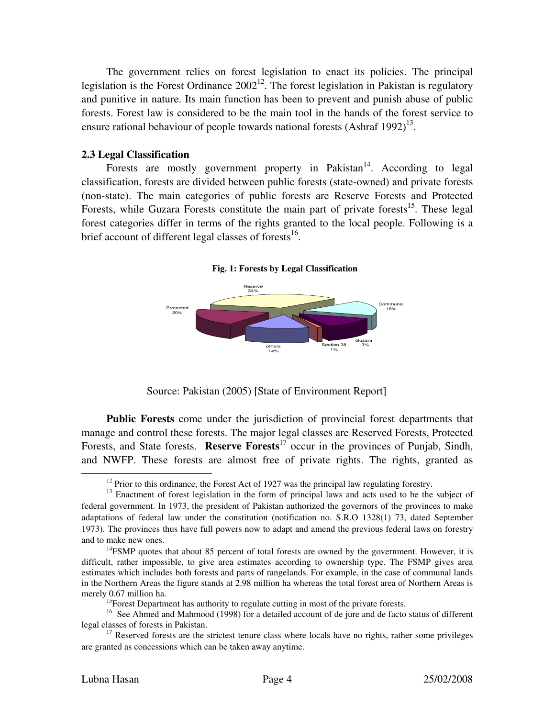The government relies on forest legislation to enact its policies. The principal legislation is the Forest Ordinance  $2002^{12}$ . The forest legislation in Pakistan is regulatory and punitive in nature. Its main function has been to prevent and punish abuse of public forests. Forest law is considered to be the main tool in the hands of the forest service to ensure rational behaviour of people towards national forests  $(Ashraf 1992)^{13}$ .

### **2.3 Legal Classification**

Forests are mostly government property in Pakistan<sup>14</sup>. According to legal classification, forests are divided between public forests (state-owned) and private forests (non-state). The main categories of public forests are Reserve Forests and Protected Forests, while Guzara Forests constitute the main part of private forests<sup>15</sup>. These legal forest categories differ in terms of the rights granted to the local people. Following is a brief account of different legal classes of forests<sup>16</sup>.

**Fig. 1: Forests by Legal Classification** 



Source: Pakistan (2005) [State of Environment Report]

**Public Forests** come under the jurisdiction of provincial forest departments that manage and control these forests. The major legal classes are Reserved Forests, Protected Forests, and State forests. **Reserve Forests**<sup>17</sup> occur in the provinces of Punjab, Sindh, and NWFP. These forests are almost free of private rights. The rights, granted as

 $12$  Prior to this ordinance, the Forest Act of 1927 was the principal law regulating forestry.

<sup>&</sup>lt;sup>13</sup> Enactment of forest legislation in the form of principal laws and acts used to be the subject of federal government. In 1973, the president of Pakistan authorized the governors of the provinces to make adaptations of federal law under the constitution (notification no. S.R.O 1328(1) 73, dated September 1973). The provinces thus have full powers now to adapt and amend the previous federal laws on forestry and to make new ones.

 $14$ FSMP quotes that about 85 percent of total forests are owned by the government. However, it is difficult, rather impossible, to give area estimates according to ownership type. The FSMP gives area estimates which includes both forests and parts of rangelands. For example, in the case of communal lands in the Northern Areas the figure stands at 2.98 million ha whereas the total forest area of Northern Areas is merely 0.67 million ha.

<sup>&</sup>lt;sup>15</sup>Forest Department has authority to regulate cutting in most of the private forests.

<sup>&</sup>lt;sup>16</sup> See Ahmed and Mahmood (1998) for a detailed account of de jure and de facto status of different legal classes of forests in Pakistan.

 $17$  Reserved forests are the strictest tenure class where locals have no rights, rather some privileges are granted as concessions which can be taken away anytime.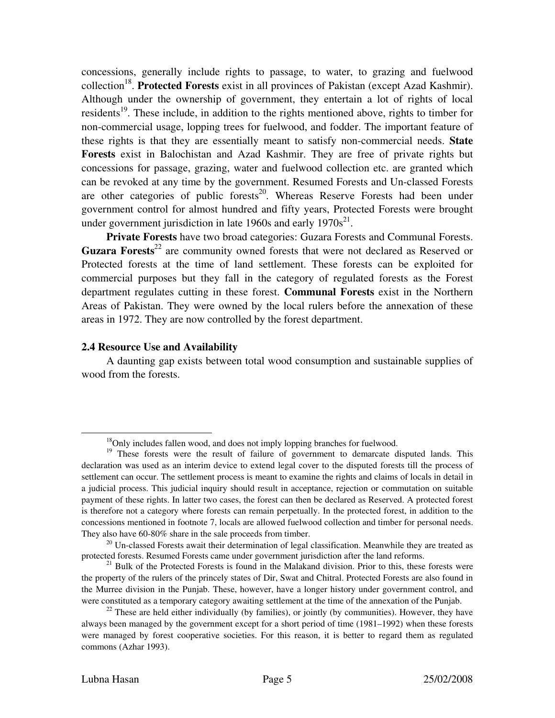concessions, generally include rights to passage, to water, to grazing and fuelwood collection<sup>18</sup>. Protected Forests exist in all provinces of Pakistan (except Azad Kashmir). Although under the ownership of government, they entertain a lot of rights of local residents<sup>19</sup>. These include, in addition to the rights mentioned above, rights to timber for non-commercial usage, lopping trees for fuelwood, and fodder. The important feature of these rights is that they are essentially meant to satisfy non-commercial needs. **State Forests** exist in Balochistan and Azad Kashmir. They are free of private rights but concessions for passage, grazing, water and fuelwood collection etc. are granted which can be revoked at any time by the government. Resumed Forests and Un-classed Forests are other categories of public forests<sup>20</sup>. Whereas Reserve Forests had been under government control for almost hundred and fifty years, Protected Forests were brought under government jurisdiction in late 1960s and early  $1970s^{21}$ .

**Private Forests** have two broad categories: Guzara Forests and Communal Forests. **Guzara Forests**<sup>22</sup> are community owned forests that were not declared as Reserved or Protected forests at the time of land settlement. These forests can be exploited for commercial purposes but they fall in the category of regulated forests as the Forest department regulates cutting in these forest. **Communal Forests** exist in the Northern Areas of Pakistan. They were owned by the local rulers before the annexation of these areas in 1972. They are now controlled by the forest department.

#### **2.4 Resource Use and Availability**

A daunting gap exists between total wood consumption and sustainable supplies of wood from the forests.

-

<sup>&</sup>lt;sup>18</sup>Only includes fallen wood, and does not imply lopping branches for fuelwood.

<sup>&</sup>lt;sup>19</sup> These forests were the result of failure of government to demarcate disputed lands. This declaration was used as an interim device to extend legal cover to the disputed forests till the process of settlement can occur. The settlement process is meant to examine the rights and claims of locals in detail in a judicial process. This judicial inquiry should result in acceptance, rejection or commutation on suitable payment of these rights. In latter two cases, the forest can then be declared as Reserved. A protected forest is therefore not a category where forests can remain perpetually. In the protected forest, in addition to the concessions mentioned in footnote 7, locals are allowed fuelwood collection and timber for personal needs. They also have 60-80% share in the sale proceeds from timber.

 $20$  Un-classed Forests await their determination of legal classification. Meanwhile they are treated as protected forests. Resumed Forests came under government jurisdiction after the land reforms.

 $21$  Bulk of the Protected Forests is found in the Malakand division. Prior to this, these forests were the property of the rulers of the princely states of Dir, Swat and Chitral. Protected Forests are also found in the Murree division in the Punjab. These, however, have a longer history under government control, and were constituted as a temporary category awaiting settlement at the time of the annexation of the Punjab.

 $2<sup>22</sup>$  These are held either individually (by families), or jointly (by communities). However, they have always been managed by the government except for a short period of time (1981–1992) when these forests were managed by forest cooperative societies. For this reason, it is better to regard them as regulated commons (Azhar 1993).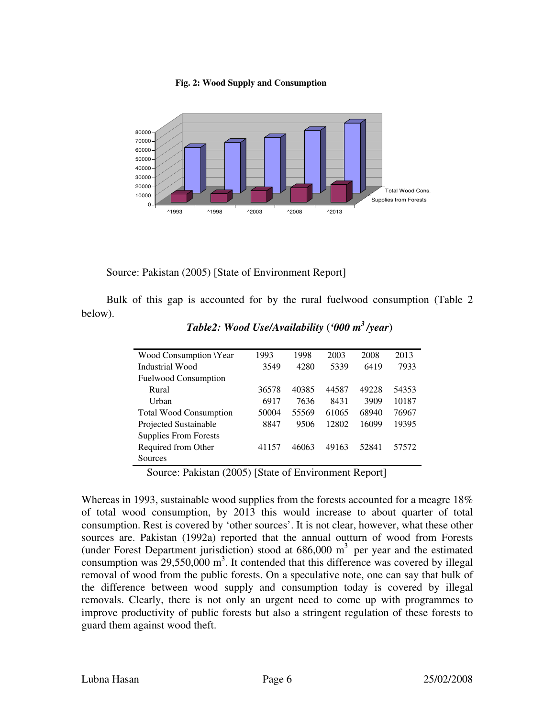#### **Fig. 2: Wood Supply and Consumption**



Source: Pakistan (2005) [State of Environment Report]

Bulk of this gap is accounted for by the rural fuelwood consumption (Table 2 below).

| Wood Consumption \Year        | 1993  | 1998  | 2003  | 2008  | 2013  |
|-------------------------------|-------|-------|-------|-------|-------|
| Industrial Wood               | 3549  | 4280  | 5339  | 6419  | 7933  |
| <b>Fuelwood Consumption</b>   |       |       |       |       |       |
| Rural                         | 36578 | 40385 | 44587 | 49228 | 54353 |
| Urban                         | 6917  | 7636  | 8431  | 3909  | 10187 |
| <b>Total Wood Consumption</b> | 50004 | 55569 | 61065 | 68940 | 76967 |
| Projected Sustainable         | 8847  | 9506  | 12802 | 16099 | 19395 |
| <b>Supplies From Forests</b>  |       |       |       |       |       |
| Required from Other           | 41157 | 46063 | 49163 | 52841 | 57572 |
| Sources                       |       |       |       |       |       |

*Table2: Wood Use/Availability* **(***'000 m<sup>3</sup> /year***)** 

Source: Pakistan (2005) [State of Environment Report]

Whereas in 1993, sustainable wood supplies from the forests accounted for a meagre 18% of total wood consumption, by 2013 this would increase to about quarter of total consumption. Rest is covered by 'other sources'. It is not clear, however, what these other sources are. Pakistan (1992a) reported that the annual outturn of wood from Forests (under Forest Department jurisdiction) stood at  $686,000 \text{ m}^3$  per year and the estimated consumption was  $29,550,000 \text{ m}^3$ . It contended that this difference was covered by illegal removal of wood from the public forests. On a speculative note, one can say that bulk of the difference between wood supply and consumption today is covered by illegal removals. Clearly, there is not only an urgent need to come up with programmes to improve productivity of public forests but also a stringent regulation of these forests to guard them against wood theft.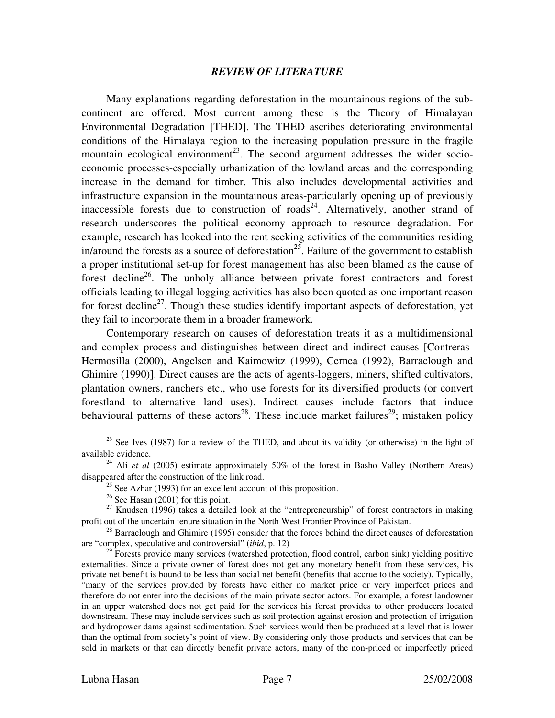#### *REVIEW OF LITERATURE*

Many explanations regarding deforestation in the mountainous regions of the subcontinent are offered. Most current among these is the Theory of Himalayan Environmental Degradation [THED]. The THED ascribes deteriorating environmental conditions of the Himalaya region to the increasing population pressure in the fragile mountain ecological environment<sup>23</sup>. The second argument addresses the wider socioeconomic processes-especially urbanization of the lowland areas and the corresponding increase in the demand for timber. This also includes developmental activities and infrastructure expansion in the mountainous areas-particularly opening up of previously inaccessible forests due to construction of roads<sup>24</sup>. Alternatively, another strand of research underscores the political economy approach to resource degradation. For example, research has looked into the rent seeking activities of the communities residing in/around the forests as a source of deforestation<sup>25</sup>. Failure of the government to establish a proper institutional set-up for forest management has also been blamed as the cause of forest decline<sup>26</sup>. The unholy alliance between private forest contractors and forest officials leading to illegal logging activities has also been quoted as one important reason for forest decline<sup>27</sup>. Though these studies identify important aspects of deforestation, yet they fail to incorporate them in a broader framework.

Contemporary research on causes of deforestation treats it as a multidimensional and complex process and distinguishes between direct and indirect causes [Contreras-Hermosilla (2000), Angelsen and Kaimowitz (1999), Cernea (1992), Barraclough and Ghimire (1990)]. Direct causes are the acts of agents-loggers, miners, shifted cultivators, plantation owners, ranchers etc., who use forests for its diversified products (or convert forestland to alternative land uses). Indirect causes include factors that induce behavioural patterns of these actors<sup>28</sup>. These include market failures<sup>29</sup>; mistaken policy

 $23$  See Ives (1987) for a review of the THED, and about its validity (or otherwise) in the light of available evidence.

<sup>&</sup>lt;sup>24</sup> Ali *et al* (2005) estimate approximately 50% of the forest in Basho Valley (Northern Areas) disappeared after the construction of the link road.

<sup>&</sup>lt;sup>25</sup> See Azhar (1993) for an excellent account of this proposition.

 $26$  See Hasan (2001) for this point.

 $27$  Knudsen (1996) takes a detailed look at the "entrepreneurship" of forest contractors in making profit out of the uncertain tenure situation in the North West Frontier Province of Pakistan.

 $^{28}$  Barraclough and Ghimire (1995) consider that the forces behind the direct causes of deforestation are "complex, speculative and controversial" (*ibid*, p. 12)

 $29$  Forests provide many services (watershed protection, flood control, carbon sink) yielding positive externalities. Since a private owner of forest does not get any monetary benefit from these services, his private net benefit is bound to be less than social net benefit (benefits that accrue to the society). Typically, "many of the services provided by forests have either no market price or very imperfect prices and therefore do not enter into the decisions of the main private sector actors. For example, a forest landowner in an upper watershed does not get paid for the services his forest provides to other producers located downstream. These may include services such as soil protection against erosion and protection of irrigation and hydropower dams against sedimentation. Such services would then be produced at a level that is lower than the optimal from society's point of view. By considering only those products and services that can be sold in markets or that can directly benefit private actors, many of the non-priced or imperfectly priced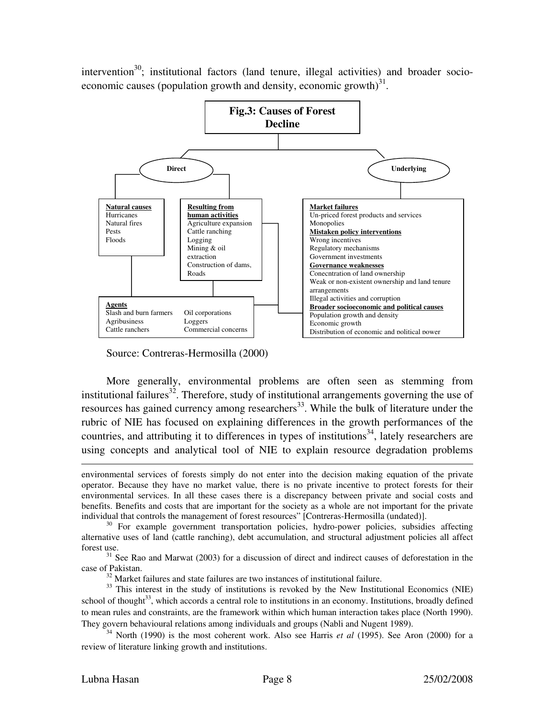intervention $30$ ; institutional factors (land tenure, illegal activities) and broader socioeconomic causes (population growth and density, economic growth) $31$ .



Source: Contreras-Hermosilla (2000)

More generally, environmental problems are often seen as stemming from institutional failures<sup>32</sup>. Therefore, study of institutional arrangements governing the use of resources has gained currency among researchers<sup>33</sup>. While the bulk of literature under the rubric of NIE has focused on explaining differences in the growth performances of the countries, and attributing it to differences in types of institutions<sup>34</sup>, lately researchers are using concepts and analytical tool of NIE to explain resource degradation problems

 $32$  Market failures and state failures are two instances of institutional failure.

 $\overline{a}$ environmental services of forests simply do not enter into the decision making equation of the private operator. Because they have no market value, there is no private incentive to protect forests for their environmental services. In all these cases there is a discrepancy between private and social costs and benefits. Benefits and costs that are important for the society as a whole are not important for the private individual that controls the management of forest resources" [Contreras-Hermosilla (undated)].

<sup>&</sup>lt;sup>30</sup> For example government transportation policies, hydro-power policies, subsidies affecting alternative uses of land (cattle ranching), debt accumulation, and structural adjustment policies all affect forest use.

 $31$  See Rao and Marwat (2003) for a discussion of direct and indirect causes of deforestation in the case of Pakistan.

<sup>&</sup>lt;sup>33</sup> This interest in the study of institutions is revoked by the New Institutional Economics (NIE) school of thought<sup>33</sup>, which accords a central role to institutions in an economy. Institutions, broadly defined to mean rules and constraints, are the framework within which human interaction takes place (North 1990). They govern behavioural relations among individuals and groups (Nabli and Nugent 1989).

<sup>34</sup> North (1990) is the most coherent work. Also see Harris *et al* (1995). See Aron (2000) for a review of literature linking growth and institutions.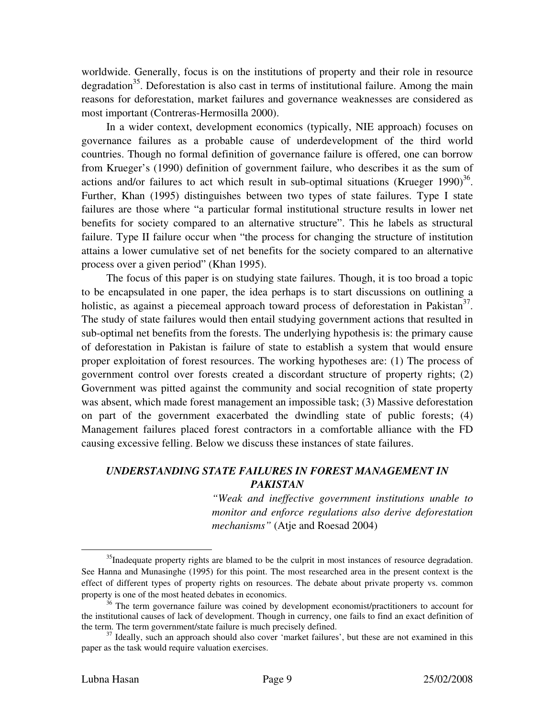worldwide. Generally, focus is on the institutions of property and their role in resource degradation<sup>35</sup>. Deforestation is also cast in terms of institutional failure. Among the main reasons for deforestation, market failures and governance weaknesses are considered as most important (Contreras-Hermosilla 2000).

In a wider context, development economics (typically, NIE approach) focuses on gover nance failures as a probable cause of underdevelopment of the third world countries. Though no formal definition of governance failure is offered, one can borrow from Krueger's (1990) definition of government failure, who describes it as the sum of actions and/or failures to act which result in sub-optimal situations (Krueger 1990) $^{36}$ . Further, Khan (1995) distinguishes between two types of state failures. Type I state failures are those where "a particular formal institutional structure results in lower net benefits for society compared to an alternative structure". This he labels as structural failure. Type II failure occur when "the process for changing the structure of institution attains a lower cumulative set of net benefits for the society compared to an alternative process over a given period" (Khan 1995).

The focus of this paper is on studying state failures. Though, it is too broad a topic to be encapsulated in one paper, the idea perhaps is to start discussions on outlining a holistic, as against a piecemeal approach toward process of deforestation in Pakistan<sup>37</sup>. The study of state failures would then entail studying government actions that resulted in sub-optimal net benefits from the forests. The underlying hypothesis is: the primary cause of deforestation in Pakistan is failure of state to establish a system that would ensure proper exploitation of forest resources. The working hypotheses are: (1) The process of government control over forests created a discordant structure of property rights; (2) Government was pitted against the community and social recognition of state property was absent, which made forest management an impossible task; (3) Massive deforestation on part of the government exacerbated the dwindling state of public forests; (4) Management failures placed forest contractors in a comfortable alliance with the FD causing excessive felling. Below we discuss these instances of state failures.

# *UNDERSTANDING STATE FAILURES IN FOREST MANAGEMENT IN PAKISTAN*

*"Weak and ineffective government institutions unable to monitor and enforce regulations also derive deforestation mechanisms"* (Atje and Roesad 2004)

 $35$ Inadequate property rights are blamed to be the culprit in most instances of resource degradation. See Hanna and Munasinghe (1995) for this point. The most researched area in the present context is the effect of different types of property rights on resources. The debate about private property vs. common property is one of the most heated debates in economics.

<sup>&</sup>lt;sup>36</sup> The term governance failure was coined by development economist/practitioners to account for the institutional causes of lack of development. Though in currency, one fails to find an exact definition of the term. The term government/state failure is much precisely defined.

<sup>&</sup>lt;sup>37</sup> Ideally, such an approach should also cover 'market failures', but these are not examined in this paper as the task would require valuation exercises.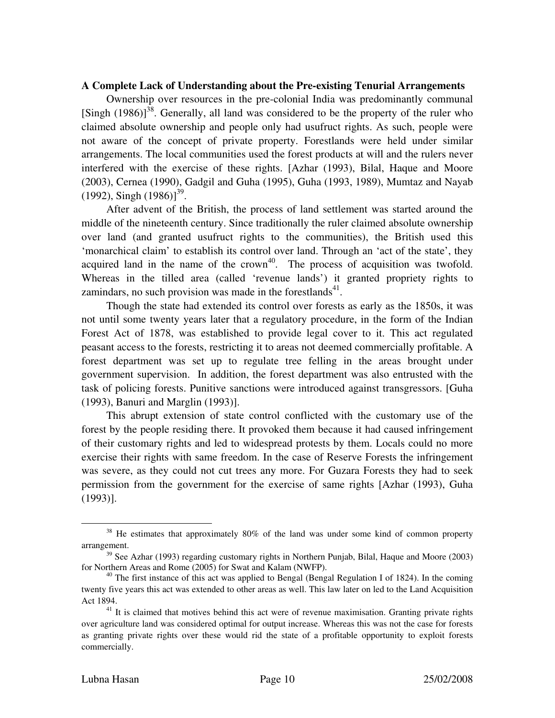#### A Complete Lack of Understanding about the Pre-existing Tenurial Arrangements

Ownership over resources in the pre-colonial India was predominantly communal [Singh  $(1986)$ ]<sup>38</sup>. Generally, all land was considered to be the property of the ruler who not a ware of the concept of private property. Forestlands were held under similar claimed absolute ownership and people only had usufruct rights. As such, people were arrangements. The local communities used the forest products at will and the rulers never interfered with the exercise of these rights. [Azhar (1993), Bilal, Haque and Moore (2003), Cernea (1990), Gadgil and Guha (1995), Guha (1993, 1989), Mumtaz and Nayab  $(1992)$ , Singh  $(1986)$ ]<sup>39</sup>.

over land (and granted usufruct rights to the communities), the British used this 'mon archical claim' to establish its control over land. Through an 'act of the state', they After advent of the British, the process of land settlement was started around the middle of the nineteenth century. Since traditionally the ruler claimed absolute ownership acquired land in the name of the crown<sup>40</sup>. The process of acquisition was twofold. Whereas in the tilled area (called 'revenue lands') it granted propriety rights to zamindars, no such provision was made in the forestlands $41$ .

Forest Act of 1878, was established to provide legal cover to it. This act regulated peasa nt access to the forests, restricting it to areas not deemed commercially profitable. A Though the state had extended its control over forests as early as the 1850s, it was not until some twenty years later that a regulatory procedure, in the form of the Indian forest department was set up to regulate tree felling in the areas brought under government supervision. In addition, the forest department was also entrusted with the task of policing forests. Punitive sanctions were introduced against transgressors. [Guha (1993), Banuri and Marglin (1993)].

of their customary rights and led to widespread protests by them. Locals could no more exerc ise their rights with same freedom. In the case of Reserve Forests the infringement This abrupt extension of state control conflicted with the customary use of the forest by the people residing there. It provoked them because it had caused infringement was severe, as they could not cut trees any more. For Guzara Forests they had to seek permission from the government for the exercise of same rights [Azhar (1993), Guha (1993)].

<sup>&</sup>lt;sup>38</sup> He estimates that approximately 80% of the land was under some kind of common property arrangement.

 $39$  See Azhar (1993) regarding customary rights in Northern Punjab, Bilal, Haque and Moore (2003) for Northern Areas and Rome (2005) for Swat and Kalam (NWFP).

 $^{40}$  The first instance of this act was applied to Bengal (Bengal Regulation I of 1824). In the coming twenty five years this act was extended to other areas as well. This law later on led to the Land Acquisition Act 1894.

<sup>&</sup>lt;sup>41</sup> It is claimed that motives behind this act were of revenue maximisation. Granting private rights over agriculture land was considered optimal for output increase. Whereas this was not the case for forests as granting private rights over these would rid the state of a profitable opportunity to exploit forests commercially.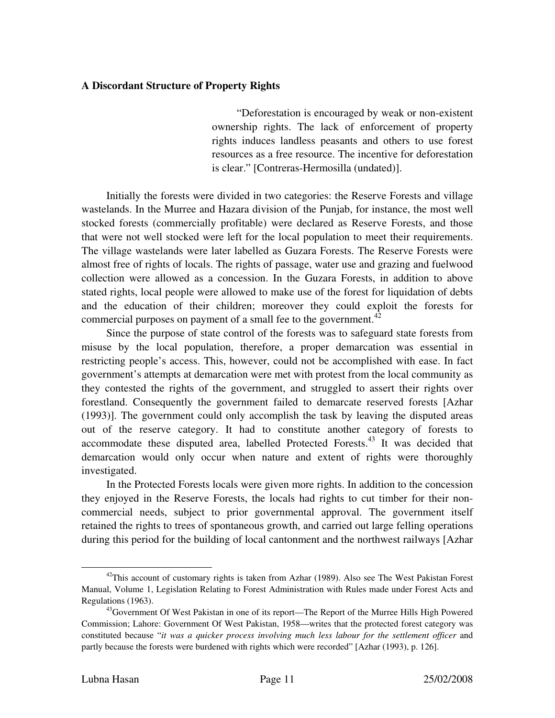## **A Discordant Structure of Property Rights**

"Deforestation is encouraged by weak or non-existent ownership rights. The lack of enforcement of property rights induces landless peasants and others to use forest resources as a free resource. The incentive for deforestation is clear." [Contreras-Hermosilla (undated)].

Initially the forests were divided in two categories: the Reserve Forests and village wastelands. In the Murree and Hazara division of the Punjab, for instance, the most well stocked forests (commercially profitable) were declared as Reserve Forests, and those that w ere not well stocked were left for the local population to meet their requirements. The village wastelands were later labelled as Guzara Forests. The Reserve Forests were almost free of rights of locals. The rights of passage, water use and grazing and fuelwood collection were allowed as a concession. In the Guzara Forests, in addition to above stated rights, local people were allowed to make use of the forest for liquidation of debts and the education of their children; moreover they could exploit the forests for commercial purposes on payment of a small fee to the government. $^{42}$ 

restricting people's access. This, however, could not be accomplished with ease. In fact gover nment's attempts at demarcation were met with protest from the local community as Since the purpose of state control of the forests was to safeguard state forests from misuse by the local population, therefore, a proper demarcation was essential in they contested the rights of the government, and struggled to assert their rights over forestland. Consequently the government failed to demarcate reserved forests [Azhar (1993)]. The government could only accomplish the task by leaving the disputed areas out of the reserve category. It had to constitute another category of forests to accommodate these disputed area, labelled Protected Forests.<sup>43</sup> It was decided that demarcation would only occur when nature and extent of rights were thoroughly investigated.

commercial needs, subject to prior governmental approval. The government itself retain ed the rights to trees of spontaneous growth, and carried out large felling operations In the Protected Forests locals were given more rights. In addition to the concession they enjoyed in the Reserve Forests, the locals had rights to cut timber for their nonduring this period for the building of local cantonment and the northwest railways [Azhar

<u>.</u>

 $42$ This account of customary rights is taken from Azhar (1989). Also see The West Pakistan Forest Manual, Volume 1, Legislation Relating to Forest Administration with Rules made under Forest Acts and Regulations (1963).

<sup>&</sup>lt;sup>43</sup>Government Of West Pakistan in one of its report—The Report of the Murree Hills High Powered Commission; Lahore: Government Of West Pakistan, 1958—writes that the protected forest category was constituted because "*it was a quicker process involving much less labour for the settlement officer* and partly because the forests were burdened with rights which were recorded" [Azhar (1993), p. 126].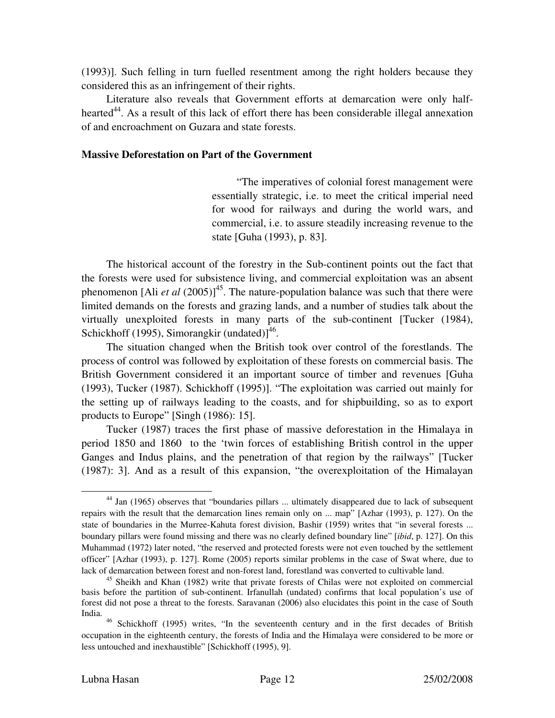(1993)]. Such felling in turn fuelled resentment among the right holders because they considered this as an infringement of their rights.

Literature also reveals that Government efforts at demarcation were only halfhearted<sup>44</sup>. As a result of this lack of effort there has been considerable illegal annexation of an d encroachment on Guzara and state forests.

#### **t Massive Deforestation on Part of the Governmen**

"The imperatives of colonial forest management were essentially strategic, i.e. to meet the critical imperial need for wood for railways and during the world wars, and commercial, i.e. to assure steadily increasing revenue to the state [Guha (1993), p. 83].

The historical account of the forestry in the Sub-continent points out the fact that the forests were used for subsistence living, and commercial exploitation was an absent phenomenon [Ali *et al* (2005)]<sup>45</sup>. The nature-population balance was such that there were limited demands on the forests and grazing lands, and a number of studies talk about the virtually unexploited forests in many parts of the sub-continent [Tucker (1984), Schickhoff (1995), Simorangkir (undated)] $^{46}$ .

process of control was followed by exploitation of these forests on commercial basis. The Britis h Government considered it an important source of timber and revenues [Guha The situation changed when the British took over control of the forestlands. The (1993), Tucker (1987). Schickhoff (1995)]. "The exploitation was carried out mainly for the setting up of railways leading to the coasts, and for shipbuilding, so as to export products to Europe" [Singh (1986): 15].

period 1850 and 1860 to the 'twin forces of establishing British control in the upper Gang es and Indus plains, and the penetration of that region by the railways" [Tucker Tucker (1987) traces the first phase of massive deforestation in the Himalaya in (1987): 3]. And as a result of this expansion, "the overexploitation of the Himalayan

<u>.</u>

<sup>44</sup> Jan (1965) observes that "boundaries pillars ... ultimately disappeared due to lack of subsequent repairs with the result that the demarcation lines remain only on ... map" [Azhar (1993), p. 127). On the state of boundaries in the Murree-Kahuta forest division, Bashir (1959) writes that "in several forests ... boundary pillars were found missing and there was no clearly defined boundary line" [*ibid*, p. 127]. On this Muhammad (1972) later noted, "the reserved and protected forests were not even touched by the settlement officer" [Azhar (1993), p. 127]. Rome (2005) reports similar problems in the case of Swat where, due to lack of demarcation between forest and non-forest land, forestland was converted to cultivable land.

<sup>&</sup>lt;sup>45</sup> Sheikh and Khan (1982) write that private forests of Chilas were not exploited on commercial basis before the partition of sub-continent. Irfanullah (undated) confirms that local population's use of forest did not pose a threat to the forests. Saravanan (2006) also elucidates this point in the case of South India.

<sup>46</sup> Schickhoff (1995) writes, "In the seventeenth century and in the first decades of British occupation in the eighteenth century, the forests of India and the Himalaya were considered to be more or less untouched and inexhaustible" [Schickhoff (1995), 9].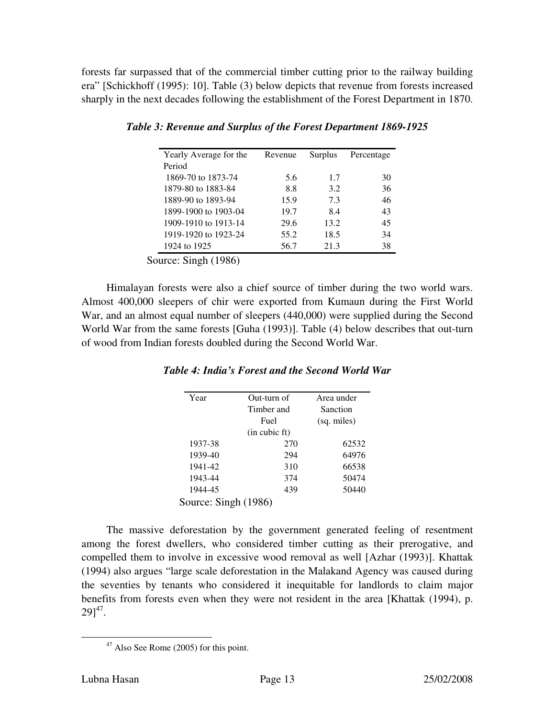forests far surpassed that of the commercial timber cutting prior to the railway building era" [Schickhoff (1995): 10]. Table (3) below depicts that revenue from forests increased sharply in the next decades following the establishment of the Forest Department in 1870.

| Yearly Average for the | Revenue | Surplus | Percentage |
|------------------------|---------|---------|------------|
| Period                 |         |         |            |
| 1869-70 to 1873-74     | 5.6     | 1.7     | 30         |
| 1879-80 to 1883-84     | 8.8     | 3.2     | 36         |
| 1889-90 to 1893-94     | 15.9    | 7.3     | 46         |
| 1899-1900 to 1903-04   | 19.7    | 8.4     | 43         |
| 1909-1910 to 1913-14   | 29.6    | 13.2    | 45         |
| 1919-1920 to 1923-24   | 55.2    | 18.5    | 34         |
| 1924 to 1925           | 56.7    | 21.3    | 38         |

*Table 3: Revenue and Surplus of the Forest Department 1869-1925* 

Sou rce: Singh (1986)

Himalayan forests were also a chief source of timber during the two world wars. Almost 400,000 sleepers of chir were exported from Kumaun during the First World War, and an almost equal number of sleepers (440,000) were supplied during the Second World War from the same forests [Guha (1993)]. Table (4) below describes that out-turn of wood from Indian forests doubled during the Second World War.

| Year                 | Out-turn of | Area under  |  |  |  |
|----------------------|-------------|-------------|--|--|--|
|                      | Timber and  | Sanction    |  |  |  |
|                      | Fuel        | (sq. miles) |  |  |  |
| (in cubic ft)        |             |             |  |  |  |
| 1937-38              | 270         | 62532       |  |  |  |
| 1939-40              | 294         | 64976       |  |  |  |
| 1941-42              | 310         | 66538       |  |  |  |
| 1943-44              | 374         | 50474       |  |  |  |
| 1944-45              | 439         | 50440       |  |  |  |
| Source: Singh (1986) |             |             |  |  |  |

# *r Table 4: India's Forest and the Second World Wa*

The massive deforestation by the government generated feeling of resentment among the forest dwellers, who considered timber cutting as their prerogative, and comp elled them to involve in excessive wood removal as well [Azhar (1993)]. Khattak (1994) also argues "large scale deforestation in the Malakand Agency was caused during the seventies by tenants who considered it inequitable for landlords to claim major benefits from forests even when they were not resident in the area [Khattak (1994), p.  $29]^{47}$ .

 $47$  Also See Rome (2005) for this point.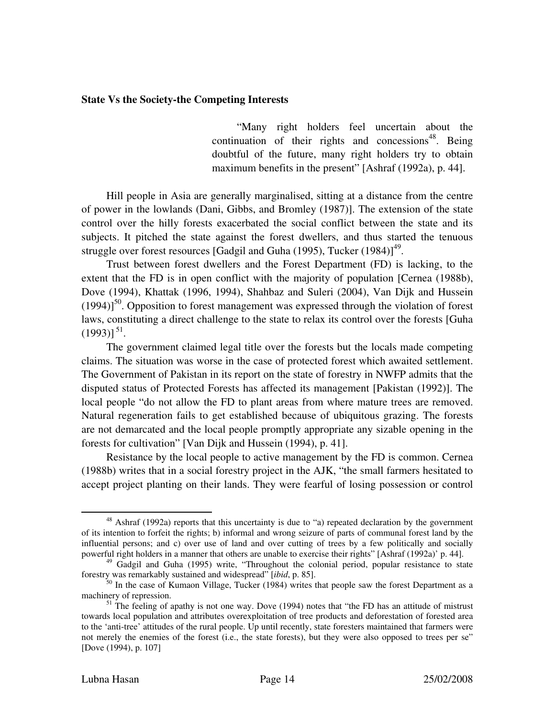#### **State Vs the Society-the Competing Interests**

"Many right holders feel uncertain about the continuation of their rights and concessions<sup>48</sup>. Being doub tful of the future, many right holders try to obtain maximum benefits in the present" [Ashraf (1992a), p. 44].

Hill people in Asia are generally marginalised, sitting at a distance from the centre of power in the lowlands (Dani, Gibbs, and Bromley (1987)]. The extension of the state control over the hilly forests exacerbated the social conflict between the state and its subjects. It pitched the state against the forest dwellers, and thus started the tenuous struggle over forest resources [Gadgil and Guha (1995), Tucker  $(1984)$ ]<sup>49</sup>.

extent that the FD is in open conflict with the majority of population [Cernea (1988b), Dove (1994), Khattak (1996, 1994), Shahbaz and Suleri (2004), Van Dijk and Hussein Trust between forest dwellers and the Forest Department (FD) is lacking, to the  $(1994)$ <sup>50</sup>. Opposition to forest management was expressed through the violation of forest laws, constituting a direct challenge to the state to relax its control over the forests [Guha  $(1993)$ ]<sup>51</sup>.

claims. The situation was worse in the case of protected forest which awaited settlement. The G overnment of Pakistan in its report on the state of forestry in NWFP admits that the The government claimed legal title over the forests but the locals made competing disputed status of Protected Forests has affected its management [Pakistan (1992)]. The local people "do not allow the FD to plant areas from where mature trees are removed. Natural regeneration fails to get established because of ubiquitous grazing. The forests are not demarcated and the local people promptly appropriate any sizable opening in the forests for cultivation" [Van Dijk and Hussein (1994), p. 41].

(1988b) writes that in a social forestry project in the AJK, "the small farmers hesitated to accept project planting on their lands. They were fearful of losing possession or control Resistance by the local people to active management by the FD is common. Cernea

 $\overline{a}$ 

<sup>&</sup>lt;sup>48</sup> Ashraf (1992a) reports that this uncertainty is due to "a) repeated declaration by the government of its intention to forfeit the rights; b) informal and wrong seizure of parts of communal forest land by the influential persons; and c) over use of land and over cutting of trees by a few politically and socially powerful right holders in a manner that others are unable to exercise their rights" [Ashraf (1992a)' p. 44].

<sup>&</sup>lt;sup>49</sup> Gadgil and Guha (1995) write, "Throughout the colonial period, popular resistance to state forestry was remarkably sustained and widespread" [*ibid*, p. 85].

 $50$  In the case of Kumaon Village, Tucker (1984) writes that people saw the forest Department as a machinery of repression.

 $<sup>51</sup>$  The feeling of apathy is not one way. Dove (1994) notes that "the FD has an attitude of mistrust</sup> towards local population and attributes overexploitation of tree products and deforestation of forested area to the 'anti-tree' attitudes of the rural people. Up until recently, state foresters maintained that farmers were not merely the enemies of the forest (i.e., the state forests), but they were also opposed to trees per se" [Dove (1994), p. 107]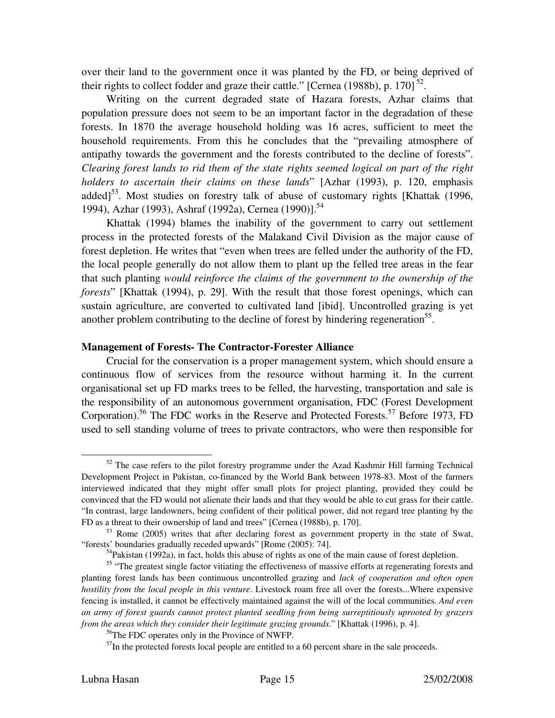over their land to the government once it was planted by the FD, or being deprived of their rights to collect fodder and graze their cattle." [Cernea (1988b), p. 170] $^{52}$ .

forests. In 1870 the average household holding was 16 acres, sufficient to meet the house hold requirements. From this he concludes that the "prevailing atmosphere of Writing on the current degraded state of Hazara forests, Azhar claims that population pressure does not seem to be an important factor in the degradation of these antipathy towards the government and the forests contributed to the decline of forests". *Clearing forest lands to rid them of the state rights seemed logical on part of the right holders to ascertain their claims on these lands*" [Azhar (1993), p. 120, emphasis added $1^{53}$ . Most studies on forestry talk of abuse of customary rights [Khattak (1996, 1994), Azhar (1993), Ashraf (1992a), Cernea (1990)].<sup>54</sup>

forest depletion. He writes that "even when trees are felled under the authority of the FD, the lo cal people generally do not allow them to plant up the felled tree areas in the fear Khattak (1994) blames the inability of the government to carry out settlement process in the protected forests of the Malakand Civil Division as the major cause of that such planting *would reinforce the claims of the government to the ownership of the forests*" [Khattak (1994), p. 29]. With the result that those forest openings, which can sustain agriculture, are converted to cultivated land [ibid]. Uncontrolled grazing is yet another problem contributing to the decline of forest by hindering regeneration<sup>55</sup>.

#### **Management of Forests- The Contractor-Forester Alliance**

Crucial for the conservation is a proper management system, which should ensure a continuous flow of services from the resource without harming it. In the current organisational set up FD marks trees to be felled, the harvesting, transportation and sale is the re sponsibility of an autonomous government organisation, FDC (Forest Development Corporation).<sup>56</sup> The FDC works in the Reserve and Protected Forests.<sup>57</sup> Before 1973, FD used to sell standing volume of trees to private contractors, who were then responsible for

 $52$  The case refers to the pilot forestry programme under the Azad Kashmir Hill farming Technical Development Project in Pakistan, co-financed by the World Bank between 1978-83. Most of the farmers intervi ewed indicated that they might offer small plots for project planting, provided they could be convinced that the FD would not alienate their lands and that they would be able to cut grass for their cattle. "In contrast, large landowners, being confident of their political power, did not regard tree planting by the FD as a threat to their ownership of land and trees" [Cernea (1988b), p. 170].

 $53$  Rome (2005) writes that after declaring forest as government property in the state of Swat, "forests' boundaries gradually receded upwards" [Rome (2005): 74].

<sup>&</sup>lt;sup>54</sup>Pakistan (1992a), in fact, holds this abuse of rights as one of the main cause of forest depletion.

<sup>&</sup>lt;sup>55</sup> "The greatest single factor vitiating the effectiveness of massive efforts at regenerating forests and planting forest lands has been continuous uncontrolled grazing and *lack of cooperation and often open hostili ty from the local people in this venture*. Livestock roam free all over the forests...Where expensive fencing is installed, it cannot be effectively maintained against the will of the local communities. *And even an army of forest guards cannot protect planted seedling from being surreptitiously uprooted by grazers from the areas which they consider their legitimate grazing grounds*." [Khattak (1996), p. 4].

<sup>56</sup>The FDC operates only in the Province of NWFP.

 $<sup>57</sup>$ In the protected forests local people are entitled to a 60 percent share in the sale proceeds.</sup>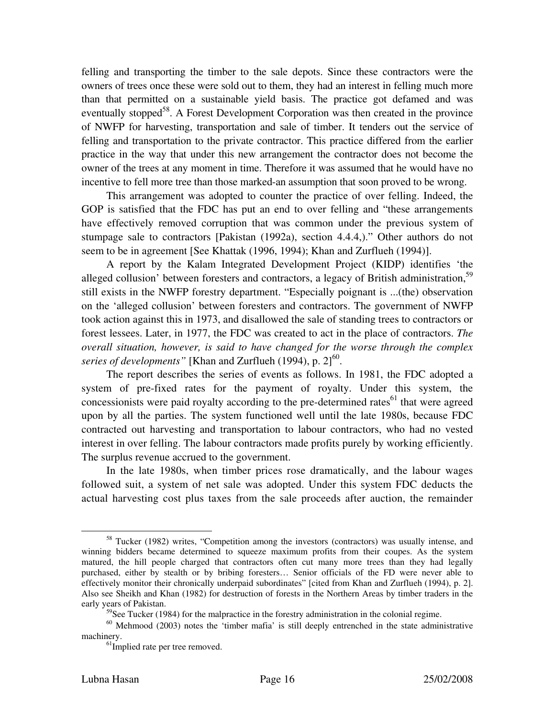felling and transporting the timber to the sale depots. Since these contractors were the owners of trees once these were sold out to them, they had an interest in felling much more than that permitted on a sustainable yield basis. The practice got defamed and was eventually stopped<sup>58</sup>. A Forest Development Corporation was then created in the province of NWFP for harvesting, transportation and sale of timber. It tenders out the service of felling and transportation to the private contractor. This practice differed from the earlier practice in the way that under this new arrangement the contractor does not become the owner of the trees at any moment in time. Therefore it was assumed that he would have no incentive to fell more tree than those marked-an assumption that soon proved to be wrong.

This arrangement was adopted to counter the practice of over felling. Indeed, the GOP is satisfied that the FDC has put an end to over felling and "these arrangements have effectively removed corruption that was common under the previous system of stumpage sale to contractors [Pakistan (1992a), section 4.4.4,)." Other authors do not seem to be in agreement [See Khattak (1996, 1994); Khan and Zurflueh (1994)].

alleged collusion' between foresters and contractors, a legacy of British administration,<sup>59</sup> still e xists in the NWFP forestry department. "Especially poignant is ...(the) observation A report by the Kalam Integrated Development Project (KIDP) identifies 'the on the 'alleged collusion' between foresters and contractors. The government of NWFP took action against this in 1973, and disallowed the sale of standing trees to contractors or forest lessees. Later, in 1977, the FDC was created to act in the place of contractors. *The overall situation, however, is said to have changed for the worse through the complex*  series of developments" [Khan and Zurflueh (1994), p.  $2]^{60}$ .

system of pre-fixed rates for the payment of royalty. Under this system, the concessionists were paid royalty according to the pre-determined rates<sup>61</sup> that were agreed The report describes the series of events as follows. In 1981, the FDC adopted a upon by all the parties. The system functioned well until the late 1980s, because FDC contracted out harvesting and transportation to labour contractors, who had no vested interest in over felling. The labour contractors made profits purely by working efficiently. The surplus revenue accrued to the government.

followed suit, a system of net sale was adopted. Under this system FDC deducts the actual harvesting cost plus taxes from the sale proceeds after auction, the remainder In the late 1980s, when timber prices rose dramatically, and the labour wages

 $\overline{a}$ 

<sup>&</sup>lt;sup>58</sup> Tucker (1982) writes, "Competition among the investors (contractors) was usually intense, and winning bidders became determined to squeeze maximum profits from their coupes. As the system matured, the hill people charged that contractors often cut many more trees than they had legally purchased, either by stealth or by bribing foresters… Senior officials of the FD were never able to effectively monitor their chronically underpaid subordinates" [cited from Khan and Zurflueh (1994), p. 2]. Also see Sheikh and Khan (1982) for destruction of forests in the Northern Areas by timber traders in the early years of Pakistan.

 $59$ See Tucker (1984) for the malpractice in the forestry administration in the colonial regime.

 $60$  Mehmood (2003) notes the 'timber mafia' is still deeply entrenched in the state administrative machinery.

<sup>&</sup>lt;sup>61</sup>Implied rate per tree removed.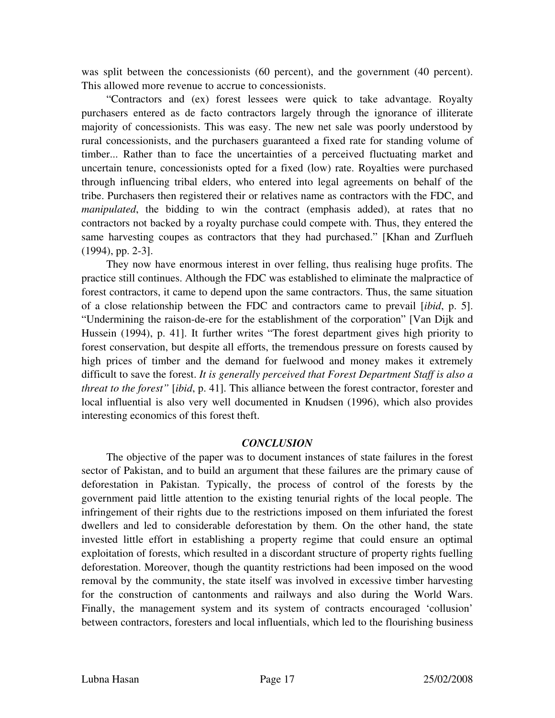was split between the concessionists (60 percent), and the government (40 percent). This allowed more revenue to accrue to concessionists.

majority of concessionists. This was easy. The new net sale was poorly understood by rural concessionists, and the purchasers guaranteed a fixed rate for standing volume of "Contractors and (ex) forest lessees were quick to take advantage. Royalty purchasers entered as de facto contractors largely through the ignorance of illiterate timber... Rather than to face the uncertainties of a perceived fluctuating market and uncertain tenure, concessionists opted for a fixed (low) rate. Royalties were purchased through influencing tribal elders, who entered into legal agreements on behalf of the tribe. Purchasers then registered their or relatives name as contractors with the FDC, and *manipulated*, the bidding to win the contract (emphasis added), at rates that no contractors not backed by a royalty purchase could compete with. Thus, they entered the same harvesting coupes as contractors that they had purchased." [Khan and Zurflueh (1994), pp. 2-3].

forest contractors, it came to depend upon the same contractors. Thus, the same situation of a close relationship between the FDC and contractors came to prevail [*ibid*, p. 5]. They now have enormous interest in over felling, thus realising huge profits. The practice still continues. Although the FDC was established to eliminate the malpractice of "Undermining the raison-de-ere for the establishment of the corporation" [Van Dijk and Hussein (1994), p. 41]. It further writes "The forest department gives high priority to forest conservation, but despite all efforts, the tremendous pressure on forests caused by high prices of timber and the demand for fuelwood and money makes it extremely difficult to save the forest. *It is generally perceived that Forest Department Staff is also a threat to the forest"* [*ibid*, p. 41]. This alliance between the forest contractor, forester and local influential is also very well documented in Knudsen (1996), which also provides interesting economics of this forest theft.

## *CONCLUSION*

The objective of the paper was to document instances of state failures in the forest sector of Pakistan, and to build an argument that these failures are the primary cause of deforestation in Pakistan. Typically, the process of control of the forests by the gover nment paid little attention to the existing tenurial rights of the local people. The infringement of their rights due to the restrictions imposed on them infuriated the forest dwellers and led to considerable deforestation by them. On the other hand, the state invested little effort in establishing a property regime that could ensure an optimal exploitation of forests, which resulted in a discordant structure of property rights fuelling deforestation. Moreover, though the quantity restrictions had been imposed on the wood removal by the community, the state itself was involved in excessive timber harvesting for the construction of cantonments and railways and also during the World Wars. Finally, the management system and its system of contracts encouraged 'collusion' between contractors, foresters and local influentials, which led to the flourishing business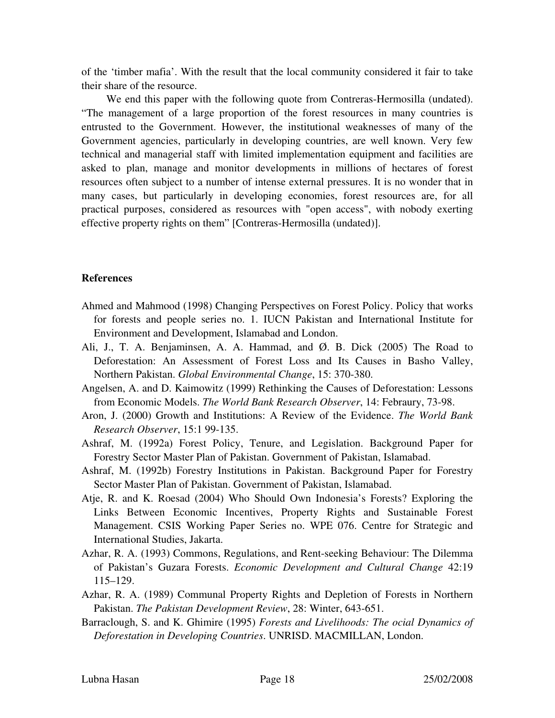of the 'timber mafia'. With the result that the local community considered it fair to take their share of the resource.

We end this paper with the following quote from Contreras-Hermosilla (undated). "The management of a large proportion of the forest resources in many countries is entru sted to the Government. However, the institutional weaknesses of many of the Government agencies, particularly in developing countries, are well known. Very few technical and managerial staff with limited implementation equipment and facilities are asked to plan, manage and monitor developments in millions of hectares of forest resources often subject to a number of intense external pressures. It is no wonder that in many cases, but particularly in developing economies, forest resources are, for all practical purposes, considered as resources with "open access", with nobody exerting effective property rights on them" [Contreras-Hermosilla (undated)].

## **eferences R**

- Ahmed and Mahmood (1998) Changing Perspectives on Forest Policy. Policy that works for forests and people series no. 1. IUCN Pakistan and International Institute for Environment and Development, Islamabad and London.
- Al i, J., T. A. Benjaminsen, A. A. Hammad, and Ø. B. Dick (2005) The Road to Deforestation: An Assessment of Forest Loss and Its Causes in Basho Valley, Northern Pakistan. *Global Environmental Change*, 15: 370-380.
- An gelsen, A. and D. Kaimowitz (1999) Rethinking the Causes of Deforestation: Lessons from Economic Models. The World Bank Research Observer, 14: Febraury, 73-98.
- Aron, J. (2000) Growth and Institutions: A Review of the Evidence. *The World Bank Research Observer*, 15:1 99-135.
- Forestry Sector Master Plan of Pakistan. Government of Pakistan, Islamabad. Ashraf, M. (1992a) Forest Policy, Tenure, and Legislation. Background Paper for
- Ashraf, M. (1992b) Forestry Institutions in Pakistan. Background Paper for Forestry Sector Master Plan of Pakistan. Government of Pakistan, Islamabad.
- Links Between Economic Incentives, Property Rights and Sustainable Forest Atje, R. and K. Roesad (2004) Who Should Own Indonesia's Forests? Exploring the Management. CSIS Working Paper Series no. WPE 076. Centre for Strategic and International Studies, Jakarta.
- Az har, R. A. (1993) Commons, Regulations, and Rent-seeking Behaviour: The Dilemma of Pakistan's Guzara Forests. Economic Development and Cultural Change 42:19 115–129.
- Az har, R. A. (1989) Communal Property Rights and Depletion of Forests in Northern *e Pakistan Development Review*, 28: Winter, 643-651. Pakistan. *Th*
- Deforestation in Developing Countries. UNRISD. MACMILLAN, London. Barraclough, S. and K. Ghimire (1995) *Forests and Livelihoods: The ocial Dynamics of*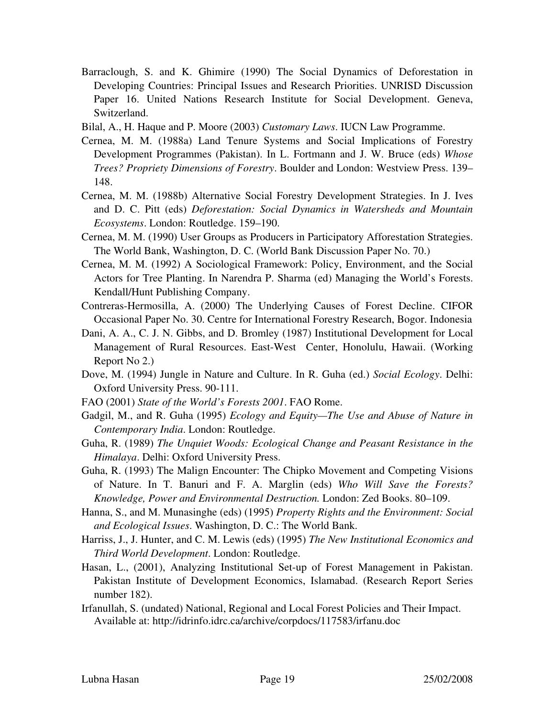- Barraclough, S. and K. Ghimire (1990) The Social Dynamics of Deforestation in Developing Countries: Principal Issues and Research Priorities. UNRISD Discussion Paper 16. United Nations Research Institute for Social Development. Geneva, Switzerland.
- Bilal, A., H. Haque and P. Moore (2003) *Customary Laws*. IUCN Law Programme.
- Cernea, M. M. (1988a) Land Tenure Systems and Social Implications of Forestry Development Programmes (Pakistan). In L. Fortmann and J. W. Bruce (eds) *Whose Trees? Propriety Dimensions of Forestry*. Boulder and London: Westview Press. 139– 148.
- Ce rnea, M. M. (1988b) Alternative Social Forestry Development Strategies. In J. Ives . C. Pitt (eds) *Deforestation: Social Dynamics in Watersheds and Mountain*  and D *Ecosystems*. London: Routledge. 159–190.
- Ce rnea, M. M. (1990) User Groups as Producers in Participatory Afforestation Strategies. The World Bank, Washington, D. C. (World Bank Discussion Paper No. 70.)
- Actors for Tree Planting. In Narendra P. Sharma (ed) Managing the World's Forests. Cernea, M. M. (1992) A Sociological Framework: Policy, Environment, and the Social Kendall/Hunt Publishing Company.
- Co ntreras-Hermosilla, A. (2000) The Underlying Causes of Forest Decline. CIFOR Occasional Paper No. 30. Centre for International Forestry Research, Bogor. Indonesia
- Dani, A. A., C. J. N. Gibbs, and D. Bromley (1987) Institutional Development for Local Management of Rural Resources. East-West Center, Honolulu, Hawaii. (Working Report No 2.)
- Do ve, M. (1994) Jungle in Nature and Culture. In R. Guha (ed.) *Social Ecology*. Delhi: Oxford University Press. 90-111.
- FAO (2001) *State of the World's Forests 2001*. FAO Rome.
- Gadgil, M., and R. Guha (1995) *Ecology and Equity—The Use and Abuse of Nature in Contemporary India*. London: Routledge.
- Guha, R. (1989) *The Unquiet Woods: Ecological Change and Peasant Resistance in the Himalaya*. Delhi: Oxford University Press.
- of Nature. In T. Banuri and F. A. Marglin (eds) Who Will Save the Forests? Guha, R. (1993) The Malign Encounter: The Chipko Movement and Competing Visions *Knowledge, Power and Environmental Destruction.* London: Zed Books. 80–109.
- Ha nna, S., and M. Munasinghe (eds) (1995) *Property Rights and the Environment: Social and Ecological Issues*. Washington, D. C.: The World Bank.
- Harriss, J., J. Hunter, and C. M. Lewis (eds) (1995) *The New Institutional Economics and Third World Development*. London: Routledge.
- Pakistan Institute of Development Economics, Islamabad. (Research Report Series Hasan, L., (2001), Analyzing Institutional Set-up of Forest Management in Pakistan. number 182).
- Irf anullah, S. (undated) National, Regional and Local Forest Policies and Their Impact. Available at: http://idrinfo.idrc.ca/archive/corpdocs/117583/irfanu.doc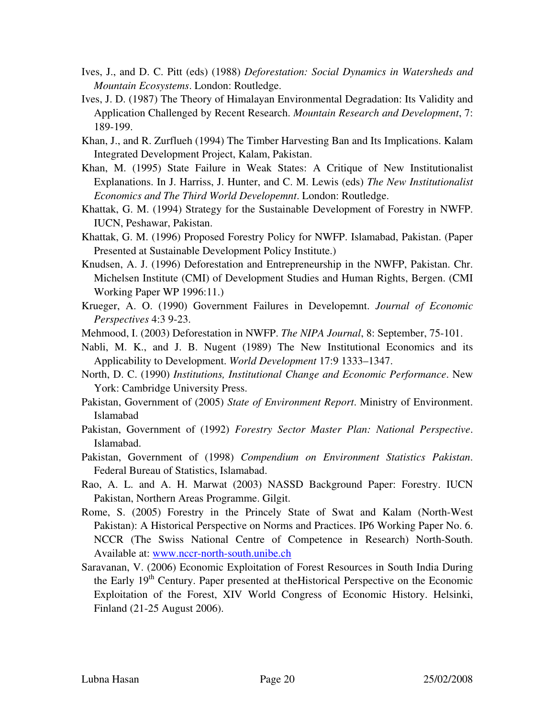- Ives, J., and D. C. Pitt (eds) (1988) *Deforestation: Social Dynamics in Watersheds and Mountain Ecosystems*. London: Routledge.
- Application Challenged by Recent Research. Mountain Research and Development, 7: Ives, J. D. (1987) The Theory of Himalayan Environmental Degradation: Its Validity and 189-199.
- Kh an, J., and R. Zurflueh (1994) The Timber Harvesting Ban and Its Implications. Kalam Integrated Development Project, Kalam, Pakistan.
- Explanations. In J. Harriss, J. Hunter, and C. M. Lewis (eds) The New Institutionalist Khan, M. (1995) State Failure in Weak States: A Critique of New Institutionalist *Economics and The Third World Developemnt*. London: Routledge.
- Kh attak, G. M. (1994) Strategy for the Sustainable Development of Forestry in NWFP. IUCN, Peshawar, Pakistan.
- Presented at Sustainable Development Policy Institute.) Khattak, G. M. (1996) Proposed Forestry Policy for NWFP. Islamabad, Pakistan. (Paper
- Michelsen Institute (CMI) of Development Studies and Human Rights, Bergen. (CMI Knudsen, A. J. (1996) Deforestation and Entrepreneurship in the NWFP, Pakistan. Chr. Working Paper WP 1996:11.)
- Kr ueger, A. O. (1990) Government Failures in Developemnt. *Journal of Economic Perspectives* 4:3 9-23.
- Mehmood, I. (2003) Deforestation in NWFP. *The NIPA Journal*, 8: September, 75-101.
- Nabli, M. K., and J. B. Nugent (1989) The New Institutional Economics and its Applicability to Development. *World Development* 17:9 1333–1347.
- North, D. C. (1990) *Institutions, Institutional Change and Economic Performance*. New York: Cambridge University Press.
- Pakistan, Government of (2005) *State of Environment Report*. Ministry of Environment. Islamabad
- Pakistan, Government of (1992) *Forestry Sector Master Plan: National Perspective*. Islamabad.
- Federal Bureau of Statistics, Islamabad. Pakistan, Government of (1998) *Compendium on Environment Statistics Pakistan*.
- Pakistan, Northern Areas Programme. Gilgit. Rao, A. L. and A. H. Marwat (2003) NASSD Background Paper: Forestry. IUCN
- Pakistan): A Historical Perspective on Norms and Practices. IP6 Working Paper No. 6. Rome, S. (2005) Forestry in the Princely State of Swat and Kalam (North-West NCCR (The Swiss National Centre of Competence in Research) North-South. Available at: www.nccr-north-south.unibe.ch
- Sa ravanan, V. (2006) Economic Exploitation of Forest Resources in South India During the Early 19<sup>th</sup> Century. Paper presented at the Historical Perspective on the Economic Exploitation of the Forest, XIV World Congress of Economic History. Helsinki, Finland (21-25 August 2006).